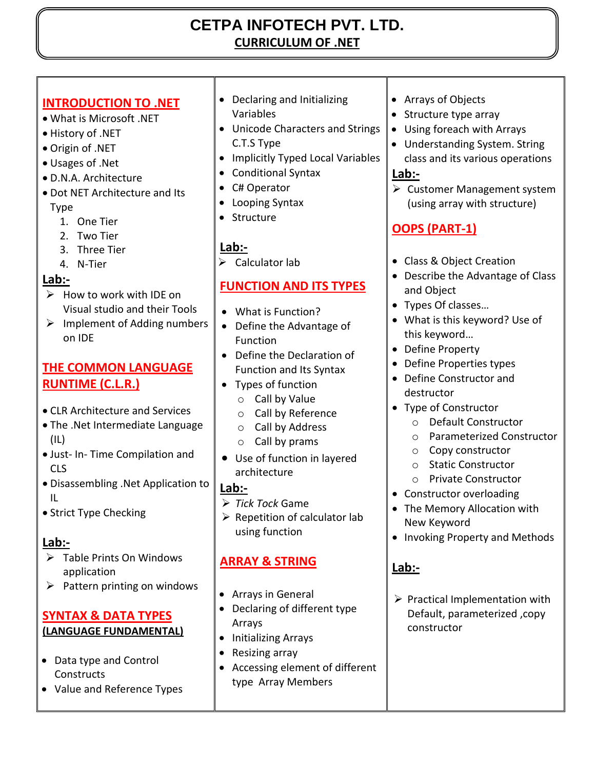# **CETPA INFOTECH PVT. LTD. CURRICULUM OF .NET**

# **INTRODUCTION TO .NET**

- What is Microsoft .NET
- History of .NET
- Origin of .NET
- Usages of .Net
- D.N.A. Architecture
- Dot NET Architecture and Its Type
	- 1. One Tier
	- 2. Two Tier
	- 3. Three Tier
	- 4. N-Tier

# **Lab:-**

- $\triangleright$  How to work with IDE on Visual studio and their Tools
- $\triangleright$  Implement of Adding numbers on IDE

## **THE COMMON LANGUAGE RUNTIME (C.L.R.)**

- CLR Architecture and Services
- The .Net Intermediate Language (IL)
- Just- In- Time Compilation and CLS
- Disassembling .Net Application to IL
- Strict Type Checking

# **Lab:-**

- $\triangleright$  Table Prints On Windows application
- $\triangleright$  Pattern printing on windows

#### **SYNTAX & DATA TYPES (LANGUAGE FUNDAMENTAL)**

- Data type and Control **Constructs**
- Value and Reference Types
- Declaring and Initializing Variables
- Unicode Characters and Strings C.T.S Type
- Implicitly Typed Local Variables
- Conditional Syntax
- C# Operator
- Looping Syntax
- Structure

# **Lab:-**

 $\triangleright$  Calculator lab

# **FUNCTION AND ITS TYPES**

- What is Function?
- Define the Advantage of Function
- Define the Declaration of Function and Its Syntax
- Types of function
	- o Call by Value
	- o Call by Reference
	- o Call by Address
	- o Call by prams
- Use of function in layered architecture

## **Lab:-**

- *Tick Tock* Game
- $\triangleright$  Repetition of calculator lab using function

# **ARRAY & STRING**

- Arrays in General
- Declaring of different type Arrays
- Initializing Arrays
- Resizing array
- Accessing element of different type Array Members
- Arrays of Objects
- Structure type array
- Using foreach with Arrays
- Understanding System. String class and its various operations

#### **Lab:-**

 $\triangleright$  Customer Management system (using array with structure)

# **OOPS (PART-1)**

- Class & Object Creation
- Describe the Advantage of Class and Object
- Types Of classes…
- What is this keyword? Use of this keyword…
- Define Property
- Define Properties types
- Define Constructor and destructor
- Type of Constructor
	- o Default Constructor
	- o Parameterized Constructor
	- o Copy constructor
	- o Static Constructor
	- o Private Constructor
- Constructor overloading
- The Memory Allocation with New Keyword
- Invoking Property and Methods

# **Lab:-**

 $\triangleright$  Practical Implementation with Default, parameterized ,copy constructor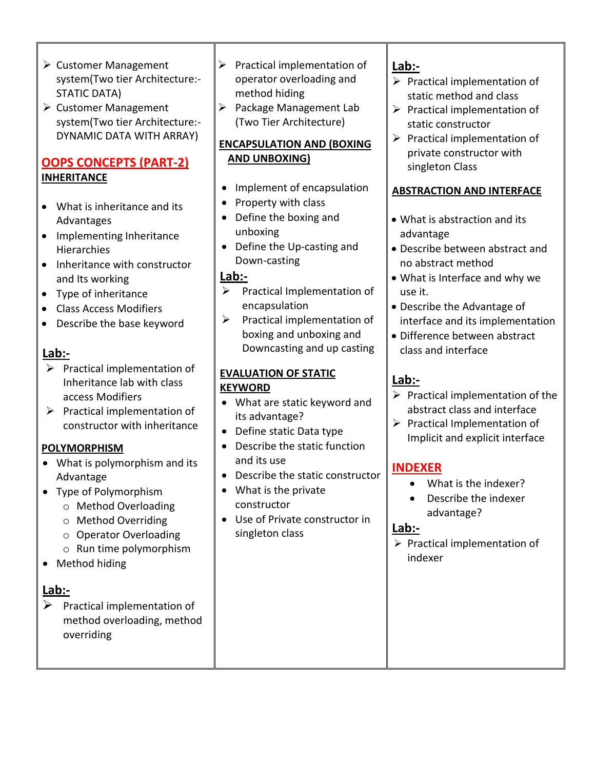- Customer Management system(Two tier Architecture:- STATIC DATA)
- $\triangleright$  Customer Management system(Two tier Architecture:- DYNAMIC DATA WITH ARRAY)

#### **OOPS CONCEPTS (PART-2) INHERITANCE**

- What is inheritance and its Advantages
- Implementing Inheritance **Hierarchies**
- Inheritance with constructor and Its working
- Type of inheritance
- Class Access Modifiers
- Describe the base keyword

#### **Lab:-**

- $\triangleright$  Practical implementation of Inheritance lab with class access Modifiers
- $\triangleright$  Practical implementation of constructor with inheritance

#### **POLYMORPHISM**

- What is polymorphism and its Advantage
- Type of Polymorphism
	- o Method Overloading
	- o Method Overriding
	- o Operator Overloading
	- o Run time polymorphism
- Method hiding

## **Lab:-**

 $\triangleright$  Practical implementation of method overloading, method overriding

- $\triangleright$  Practical implementation of operator overloading and method hiding
- $\triangleright$  Package Management Lab (Two Tier Architecture)

#### **ENCAPSULATION AND (BOXING AND UNBOXING)**

- Implement of encapsulation
- Property with class
- Define the boxing and unboxing
- Define the Up-casting and Down-casting

### **Lab:-**

- $\triangleright$  Practical Implementation of encapsulation
- $\triangleright$  Practical implementation of boxing and unboxing and Downcasting and up casting

#### **EVALUATION OF STATIC KEYWORD**

- What are static keyword and its advantage?
- Define static Data type
- Describe the static function and its use
- Describe the static constructor
- What is the private constructor
- Use of Private constructor in singleton class

#### **Lab:-**

- $\triangleright$  Practical implementation of static method and class
- $\triangleright$  Practical implementation of static constructor
- $\triangleright$  Practical implementation of private constructor with singleton Class

#### **ABSTRACTION AND INTERFACE**

- What is abstraction and its advantage
- Describe between abstract and no abstract method
- What is Interface and why we use it.
- Describe the Advantage of interface and its implementation
- Difference between abstract class and interface

# **Lab:-**

- $\triangleright$  Practical implementation of the abstract class and interface
- $\triangleright$  Practical Implementation of Implicit and explicit interface

## **INDEXER**

- What is the indexer?
- Describe the indexer advantage?

#### **Lab:-**

 $\triangleright$  Practical implementation of indexer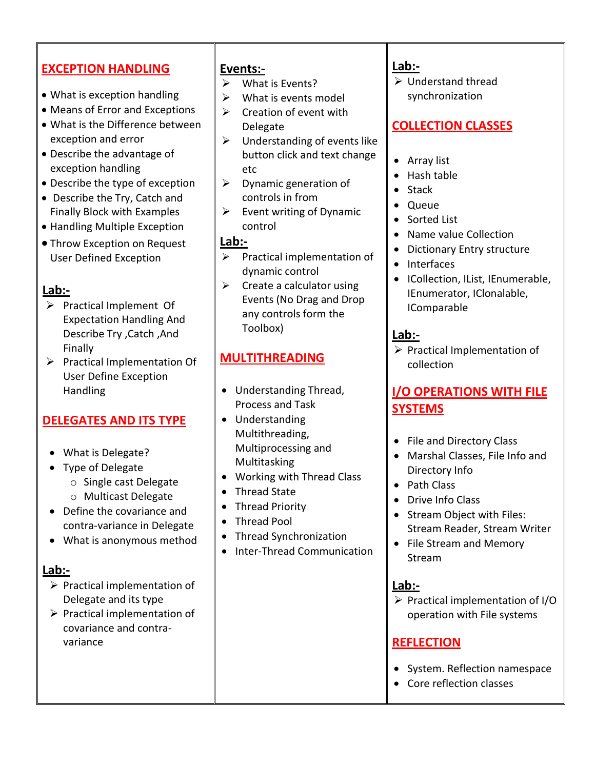# **EXCEPTION HANDLING**

- What is exception handling
- Means of Error and Exceptions
- What is the Difference between exception and error
- Describe the advantage of exception handling
- Describe the type of exception
- Describe the Try, Catch and Finally Block with Examples
- Handling Multiple Exception
- Throw Exception on Request User Defined Exception

### **Lab:-**

- $\triangleright$  Practical Implement Of Expectation Handling And Describe Try ,Catch ,And Finally
- $\triangleright$  Practical Implementation Of User Define Exception Handling

## **DELEGATES AND ITS TYPE**

- What is Delegate?
- Type of Delegate
	- o Single cast Delegate
	- o Multicast Delegate
- Define the covariance and contra-variance in Delegate
- What is anonymous method

## **Lab:-**

- $\triangleright$  Practical implementation of Delegate and its type
- $\triangleright$  Practical implementation of covariance and contravariance

#### **Events:-**

- $\triangleright$  What is Events?
- $\triangleright$  What is events model
- $\triangleright$  Creation of event with Delegate
- $\triangleright$  Understanding of events like button click and text change etc
- $\triangleright$  Dynamic generation of controls in from
- $\triangleright$  Event writing of Dynamic control

#### **Lab:-**

- $\triangleright$  Practical implementation of dynamic control
- $\triangleright$  Create a calculator using Events (No Drag and Drop any controls form the Toolbox)

# **MULTITHREADING**

- Understanding Thread, Process and Task
- Understanding Multithreading, Multiprocessing and Multitasking
- Working with Thread Class
- Thread State
- Thread Priority
- Thread Pool
- Thread Synchronization
- Inter-Thread Communication

#### **Lab:-**

 Understand thread synchronization

# **COLLECTION CLASSES**

- Array list
- Hash table
- Stack
- Queue
- Sorted List
- Name value Collection
- Dictionary Entry structure
- Interfaces
- ICollection, IList, IEnumerable, IEnumerator, IClonalable, IComparable

### **Lab:-**

 $\triangleright$  Practical Implementation of collection

# **I/O OPERATIONS WITH FILE SYSTEMS**

- File and Directory Class
- Marshal Classes, File Info and Directory Info
- Path Class
- Drive Info Class
- Stream Object with Files: Stream Reader, Stream Writer
- File Stream and Memory Stream

#### **Lab:-**

 $\triangleright$  Practical implementation of I/O operation with File systems

## **REFLECTION**

- System. Reflection namespace
- Core reflection classes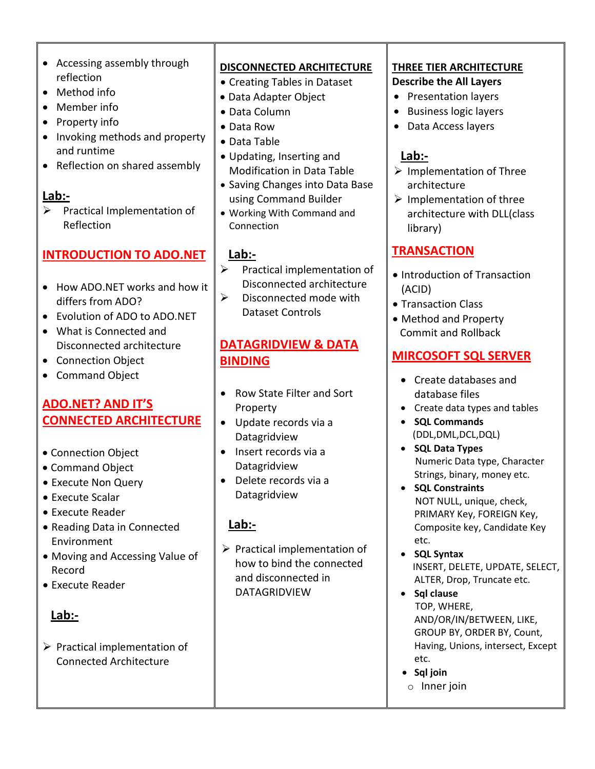- Accessing assembly through reflection
- Method info
- Member info
- Property info
- Invoking methods and property and runtime
- Reflection on shared assembly

 $\triangleright$  Practical Implementation of Reflection

# **INTRODUCTION TO ADO.NET**

- How ADO.NET works and how it differs from ADO?
- Evolution of ADO to ADO.NET
- What is Connected and Disconnected architecture
- Connection Object
- Command Object

# **ADO.NET? AND IT'S CONNECTED ARCHITECTURE**

- Connection Object
- Command Object
- Execute Non Query
- Execute Scalar
- Execute Reader
- Reading Data in Connected Environment
- Moving and Accessing Value of Record
- Execute Reader

## **Lab:-**

 $\triangleright$  Practical implementation of Connected Architecture

#### **DISCONNECTED ARCHITECTURE**

- Creating Tables in Dataset
- Data Adapter Object
- Data Column
- Data Row
- Data Table
- Updating, Inserting and Modification in Data Table
- Saving Changes into Data Base using Command Builder
- Working With Command and Connection

#### **Lab:-**

- Practical implementation of Disconnected architecture
- $\triangleright$  Disconnected mode with Dataset Controls

# **DATAGRIDVIEW & DATA BINDING**

- Row State Filter and Sort Property
- Update records via a Datagridview
- Insert records via a Datagridview
- Delete records via a Datagridview

# **Lab:-**

 $\triangleright$  Practical implementation of how to bind the connected and disconnected in DATAGRIDVIEW

#### **THREE TIER ARCHITECTURE Describe the All Layers**

- Presentation layers
- Business logic layers
- Data Access layers

# **Lab:-**

- $\triangleright$  Implementation of Three architecture
- $\triangleright$  Implementation of three architecture with DLL(class library)

# **TRANSACTION**

- Introduction of Transaction (ACID)
- Transaction Class
- Method and Property Commit and Rollback

## **MIRCOSOFT SQL SERVER**

- Create databases and database files
- Create data types and tables
- **SQL Commands** (DDL,DML,DCL,DQL)
- **SQL Data Types** Numeric Data type, Character Strings, binary, money etc.
- **SQL Constraints**  NOT NULL, unique, check, PRIMARY Key, FOREIGN Key, Composite key, Candidate Key etc.
- **SQL Syntax**  INSERT, DELETE, UPDATE, SELECT, ALTER, Drop, Truncate etc.
- **Sql clause** TOP, WHERE, AND/OR/IN/BETWEEN, LIKE, GROUP BY, ORDER BY, Count, Having, Unions, intersect, Except etc.
- **Sql join**
- o Inner join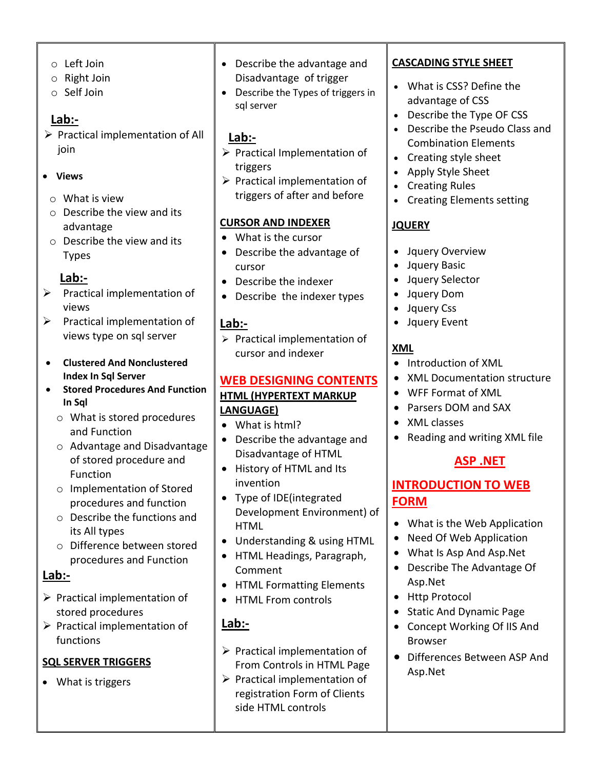- o Left Join
- o Right Join
- o Self Join

 $\triangleright$  Practical implementation of All join

#### **Views**

- o What is view
- o Describe the view and its advantage
- o Describe the view and its Types

# **Lab:-**

- $\triangleright$  Practical implementation of views
- $\triangleright$  Practical implementation of views type on sql server
- **Clustered And Nonclustered Index In Sql Server**
- **Stored Procedures And Function In Sql** 
	- o What is stored procedures and Function
	- o Advantage and Disadvantage of stored procedure and Function
	- o Implementation of Stored procedures and function
	- o Describe the functions and its All types
	- o Difference between stored procedures and Function

#### **Lab:-**

- $\triangleright$  Practical implementation of stored procedures
- $\triangleright$  Practical implementation of functions

#### **SQL SERVER TRIGGERS**

What is triggers

- Describe the advantage and Disadvantage of trigger
- Describe the Types of triggers in sql server

## **Lab:-**

- $\triangleright$  Practical Implementation of triggers
- $\triangleright$  Practical implementation of triggers of after and before

#### **CURSOR AND INDEXER**

- What is the cursor
- Describe the advantage of cursor
- Describe the indexer
- Describe the indexer types

## **Lab:-**

 $\triangleright$  Practical implementation of cursor and indexer

#### **WEB DESIGNING CONTENTS HTML (HYPERTEXT MARKUP LANGUAGE)**

- What is html?
- Describe the advantage and Disadvantage of HTML
- History of HTML and Its invention
- Type of IDE(integrated Development Environment) of HTML
- Understanding & using HTML
- HTML Headings, Paragraph, Comment
- HTML Formatting Elements
- HTML From controls

# **Lab:-**

- $\triangleright$  Practical implementation of From Controls in HTML Page
- $\triangleright$  Practical implementation of registration Form of Clients side HTML controls

#### **CASCADING STYLE SHEET**

- What is CSS? Define the advantage of CSS
- Describe the Type OF CSS
- Describe the Pseudo Class and Combination Elements
- Creating style sheet
- Apply Style Sheet
- Creating Rules
- Creating Elements setting

## **JQUERY**

- Jquery Overview
- Jquery Basic
- Jquery Selector
- Jquery Dom
- Jquery Css
- Jquery Event

# **XML**

- Introduction of XML
- XML Documentation structure
- WFF Format of XML
- Parsers DOM and SAX
- XML classes
- Reading and writing XML file

# **ASP .NET**

### **INTRODUCTION TO WEB FORM**

- What is the Web Application
- Need Of Web Application
- What Is Asp And Asp.Net
- Describe The Advantage Of Asp.Net
- Http Protocol
- Static And Dynamic Page
- Concept Working Of IIS And Browser
- Differences Between ASP And Asp.Net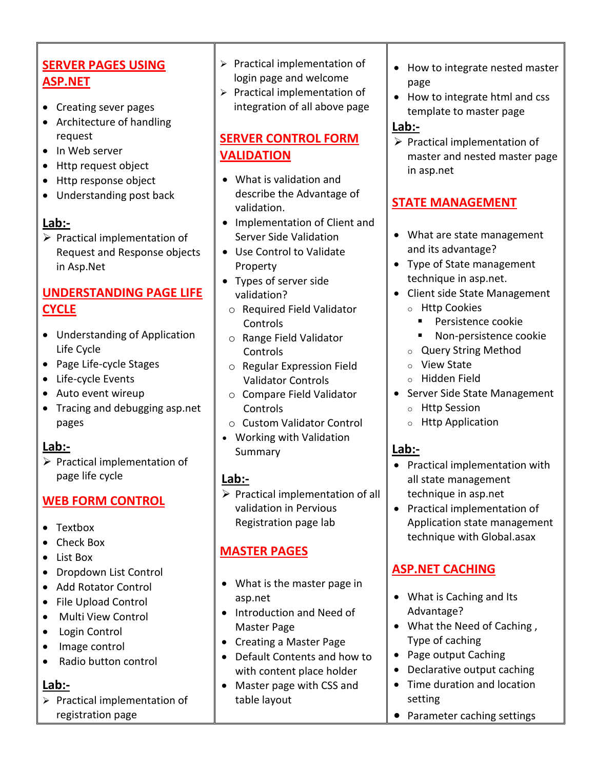# **SERVER PAGES USING ASP.NET**

- Creating sever pages
- Architecture of handling request
- In Web server
- Http request object
- Http response object
- Understanding post back

#### **Lab:-**

 $\triangleright$  Practical implementation of Request and Response objects in Asp.Net

### **UNDERSTANDING PAGE LIFE CYCLE**

- Understanding of Application Life Cycle
- Page Life-cycle Stages
- Life-cycle Events
- Auto event wireup
- Tracing and debugging asp.net pages

#### **Lab:-**

 $\triangleright$  Practical implementation of page life cycle

## **WEB FORM CONTROL**

- Textbox
- Check Box
- List Box
- Dropdown List Control
- Add Rotator Control
- File Upload Control
- Multi View Control
- Login Control
- Image control
- Radio button control

#### **Lab:-**

 $\triangleright$  Practical implementation of registration page

- $\triangleright$  Practical implementation of login page and welcome
- $\triangleright$  Practical implementation of integration of all above page

# **SERVER CONTROL FORM VALIDATION**

- What is validation and describe the Advantage of validation.
- Implementation of Client and Server Side Validation
- Use Control to Validate Property
- Types of server side validation?
- o Required Field Validator Controls
- o Range Field Validator Controls
- o Regular Expression Field Validator Controls
- o Compare Field Validator Controls
- o Custom Validator Control
- Working with Validation Summary

## **Lab:-**

 $\triangleright$  Practical implementation of all validation in Pervious Registration page lab

# **MASTER PAGES**

- What is the master page in asp.net
- Introduction and Need of Master Page
- Creating a Master Page
- Default Contents and how to with content place holder
- Master page with CSS and table layout
- How to integrate nested master page
- How to integrate html and css template to master page

#### **Lab:-**

 $\triangleright$  Practical implementation of master and nested master page in asp.net

# **STATE MANAGEMENT**

- What are state management and its advantage?
- Type of State management technique in asp.net.
- Client side State Management o Http Cookies
	- **Persistence cookie**
	- Non-persistence cookie
	- o Query String Method
	- o View State
	- o Hidden Field
- Server Side State Management
	- o Http Session
	- o Http Application

## **Lab:-**

- Practical implementation with all state management technique in asp.net
- Practical implementation of Application state management technique with Global.asax

## **ASP.NET CACHING**

- What is Caching and Its Advantage?
- What the Need of Caching, Type of caching
- Page output Caching
- Declarative output caching
- Time duration and location setting
- Parameter caching settings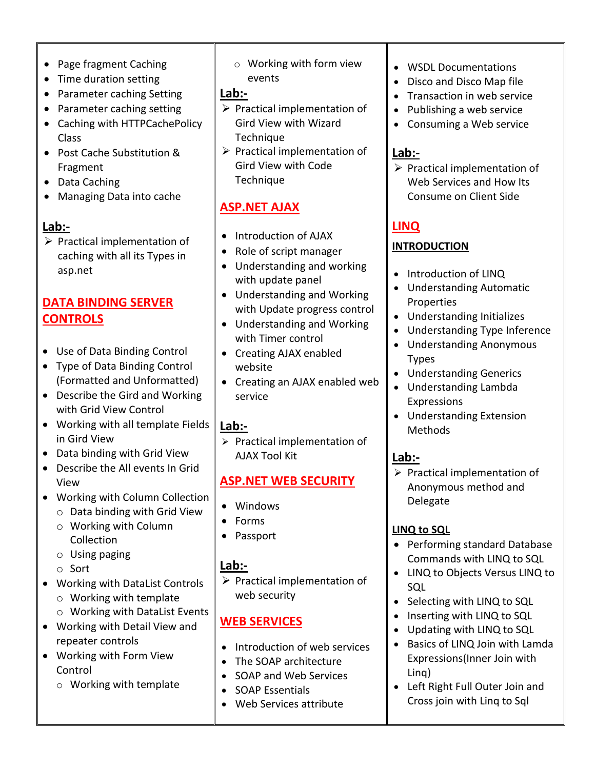- Page fragment Caching
- Time duration setting
- Parameter caching Setting
- Parameter caching setting
- Caching with HTTPCachePolicy Class
- Post Cache Substitution & Fragment
- Data Caching
- Managing Data into cache

 $\triangleright$  Practical implementation of caching with all its Types in asp.net

# **DATA BINDING SERVER CONTROLS**

- Use of Data Binding Control
- Type of Data Binding Control (Formatted and Unformatted)
- Describe the Gird and Working with Grid View Control
- Working with all template Fields in Gird View
- Data binding with Grid View
- Describe the All events In Grid View
- Working with Column Collection
	- o Data binding with Grid View
	- o Working with Column Collection
	- o Using paging
	- o Sort
- Working with DataList Controls
	- o Working with template
	- o Working with DataList Events
- Working with Detail View and repeater controls
- Working with Form View Control
	- o Working with template

o Working with form view events

#### **Lab:-**

- $\triangleright$  Practical implementation of Gird View with Wizard Technique
- $\triangleright$  Practical implementation of Gird View with Code Technique

# **ASP.NET AJAX**

- Introduction of AJAX
- Role of script manager
- Understanding and working with update panel
- Understanding and Working with Update progress control
- Understanding and Working with Timer control
- Creating AJAX enabled website
- Creating an AJAX enabled web service

# **Lab:-**

 $\triangleright$  Practical implementation of AJAX Tool Kit

# **ASP.NET WEB SECURITY**

- Windows
- Forms
- Passport

## **Lab:-**

 $\triangleright$  Practical implementation of web security

# **WEB SERVICES**

- Introduction of web services
- The SOAP architecture
- SOAP and Web Services
- SOAP Essentials
- Web Services attribute
- WSDL Documentations
- Disco and Disco Map file
- Transaction in web service
- Publishing a web service
- Consuming a Web service

## **Lab:-**

 $\triangleright$  Practical implementation of Web Services and How Its Consume on Client Side

# **LINQ**

### **INTRODUCTION**

- Introduction of LINQ
- Understanding Automatic Properties
- Understanding Initializes
- Understanding Type Inference
- Understanding Anonymous Types
- Understanding Generics
- Understanding Lambda Expressions
- Understanding Extension Methods

# **Lab:-**

 $\triangleright$  Practical implementation of Anonymous method and Delegate

# **LINQ to SQL**

- Performing standard Database Commands with LINQ to SQL
- LINQ to Objects Versus LINQ to SQL
- Selecting with LINQ to SQL
- Inserting with LINQ to SQL
- Updating with LINQ to SQL
- Basics of LINQ Join with Lamda Expressions(Inner Join with Linq)
- Left Right Full Outer Join and Cross join with Linq to Sql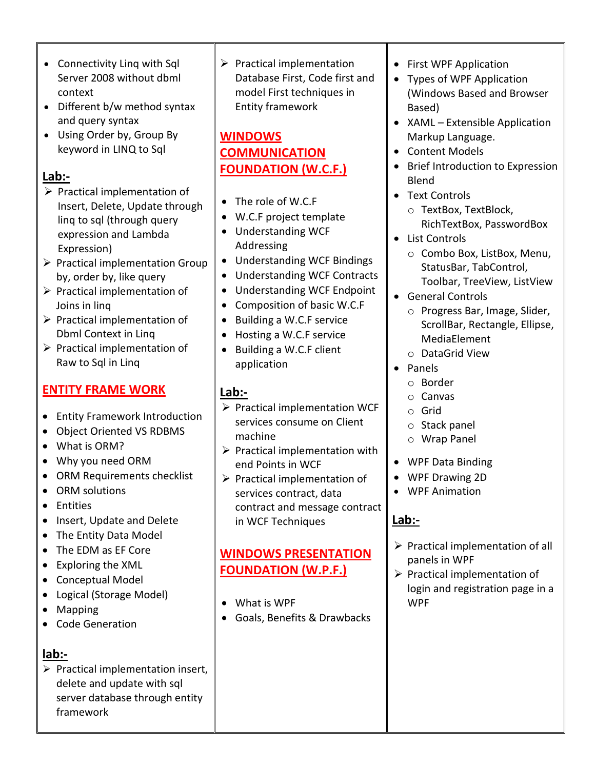- Connectivity Linq with Sql Server 2008 without dbml context
- Different b/w method syntax and query syntax
- Using Order by, Group By keyword in LINQ to Sql

- $\triangleright$  Practical implementation of Insert, Delete, Update through linq to sql (through query expression and Lambda Expression)
- $\triangleright$  Practical implementation Group by, order by, like query
- $\triangleright$  Practical implementation of Joins in linq
- $\triangleright$  Practical implementation of Dbml Context in Linq
- $\triangleright$  Practical implementation of Raw to Sql in Linq

# **ENTITY FRAME WORK**

- Entity Framework Introduction
- Object Oriented VS RDBMS
- What is ORM?
- Why you need ORM
- ORM Requirements checklist
- ORM solutions
- **•** Entities
- Insert, Update and Delete
- The Entity Data Model
- The EDM as EF Core
- Exploring the XML
- Conceptual Model
- Logical (Storage Model)
- Mapping
- Code Generation

# **lab:-**

 $\triangleright$  Practical implementation insert, delete and update with sql server database through entity framework

 $\triangleright$  Practical implementation Database First, Code first and model First techniques in Entity framework

# **WINDOWS COMMUNICATION FOUNDATION (W.C.F.)**

- The role of W.C.F
- W.C.F project template
- Understanding WCF Addressing
- Understanding WCF Bindings
- Understanding WCF Contracts
- Understanding WCF Endpoint
- Composition of basic W.C.F
- Building a W.C.F service
- Hosting a W.C.F service
- Building a W.C.F client application

# **Lab:-**

- $\triangleright$  Practical implementation WCF services consume on Client machine
- $\triangleright$  Practical implementation with end Points in WCF
- $\triangleright$  Practical implementation of services contract, data contract and message contract in WCF Techniques

# **WINDOWS PRESENTATION FOUNDATION (W.P.F.)**

- What is WPF
- Goals, Benefits & Drawbacks
- First WPF Application
- Types of WPF Application (Windows Based and Browser Based)
- XAML Extensible Application Markup Language.
- Content Models
- Brief Introduction to Expression Blend
- Text Controls
	- o TextBox, TextBlock, RichTextBox, PasswordBox
- List Controls
	- o Combo Box, ListBox, Menu, StatusBar, TabControl, Toolbar, TreeView, ListView
- General Controls
	- o Progress Bar, Image, Slider, ScrollBar, Rectangle, Ellipse, MediaElement
	- o DataGrid View
- Panels
	- o Border
	- o Canvas
	- o Grid
	- o Stack panel
	- o Wrap Panel
- WPF Data Binding
- WPF Drawing 2D
- WPF Animation

# **Lab:-**

- $\triangleright$  Practical implementation of all panels in WPF
- $\triangleright$  Practical implementation of login and registration page in a WPF